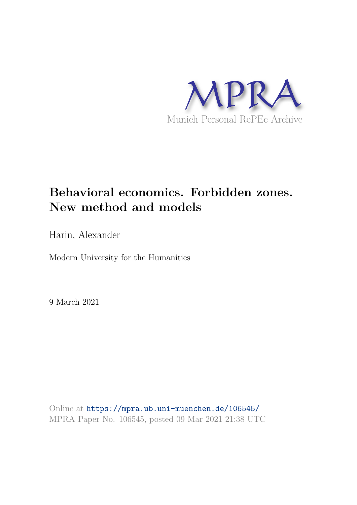

# **Behavioral economics. Forbidden zones. New method and models**

Harin, Alexander

Modern University for the Humanities

9 March 2021

Online at https://mpra.ub.uni-muenchen.de/106545/ MPRA Paper No. 106545, posted 09 Mar 2021 21:38 UTC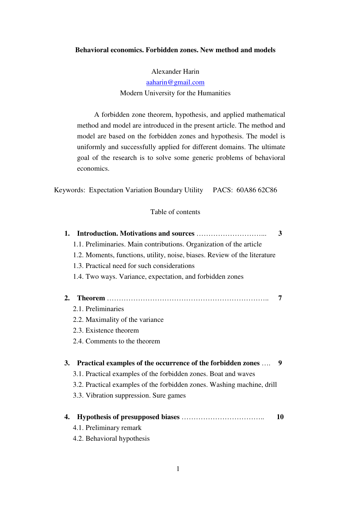# **Behavioral economics. Forbidden zones. New method and models**

Alexander Harin

aaharin@gmail.com Modern University for the Humanities

A forbidden zone theorem, hypothesis, and applied mathematical method and model are introduced in the present article. The method and model are based on the forbidden zones and hypothesis. The model is uniformly and successfully applied for different domains. The ultimate goal of the research is to solve some generic problems of behavioral economics.

Keywords: Expectation Variation Boundary Utility PACS: 60A86 62C86

# Table of contents

| 1.                                                                        | 3  |
|---------------------------------------------------------------------------|----|
| 1.1. Preliminaries. Main contributions. Organization of the article       |    |
| 1.2. Moments, functions, utility, noise, biases. Review of the literature |    |
| 1.3. Practical need for such considerations                               |    |
| 1.4. Two ways. Variance, expectation, and forbidden zones                 |    |
|                                                                           |    |
| 2.                                                                        | 7  |
| 2.1. Preliminaries                                                        |    |
| 2.2. Maximality of the variance                                           |    |
| 2.3. Existence theorem                                                    |    |
| 2.4. Comments to the theorem                                              |    |
| <b>Practical examples of the occurrence of the forbidden zones</b><br>3.  | 9  |
| 3.1. Practical examples of the forbidden zones. Boat and waves            |    |
| 3.2. Practical examples of the forbidden zones. Washing machine, drill    |    |
| 3.3. Vibration suppression. Sure games                                    |    |
| 4.                                                                        | 10 |
| 4.1. Preliminary remark                                                   |    |
| 4.2. Behavioral hypothesis                                                |    |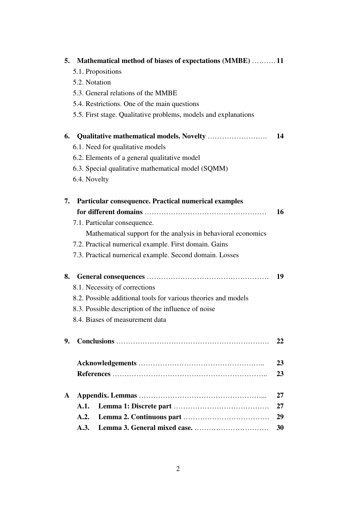| 5.           | Mathematical method of biases of expectations (MMBE) 11         |    |
|--------------|-----------------------------------------------------------------|----|
|              | 5.1. Propositions                                               |    |
|              | 5.2. Notation                                                   |    |
|              | 5.3. General relations of the MMBE                              |    |
|              | 5.4. Restrictions. One of the main questions                    |    |
|              | 5.5. First stage. Qualitative problems, models and explanations |    |
| 6.           |                                                                 | 14 |
|              | 6.1. Need for qualitative models                                |    |
|              | 6.2. Elements of a general qualitative model                    |    |
|              | 6.3. Special qualitative mathematical model (SQMM)              |    |
|              | 6.4. Novelty                                                    |    |
| 7.           | Particular consequence. Practical numerical examples            |    |
|              |                                                                 | 16 |
|              | 7.1. Particular consequence.                                    |    |
|              | Mathematical support for the analysis in behavioral economics   |    |
|              | 7.2. Practical numerical example. First domain. Gains           |    |
|              | 7.3. Practical numerical example. Second domain. Losses         |    |
| 8.           |                                                                 | 19 |
|              | 8.1. Necessity of corrections                                   |    |
|              | 8.2. Possible additional tools for various theories and models  |    |
|              | 8.3. Possible description of the influence of noise             |    |
|              | 8.4. Biases of measurement data                                 |    |
| 9.           |                                                                 | 22 |
|              |                                                                 | 23 |
|              |                                                                 | 23 |
| $\mathbf{A}$ |                                                                 | 27 |
|              | A.1.                                                            | 27 |
|              | A.2.                                                            | 29 |
|              | A.3.                                                            | 30 |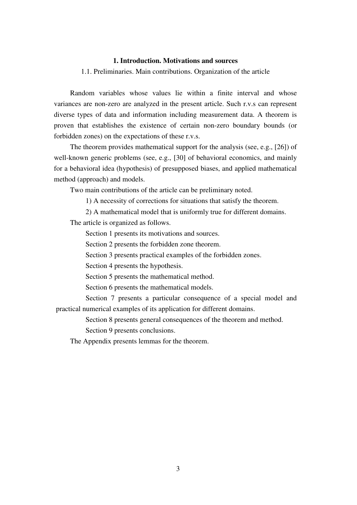# **1. Introduction. Motivations and sources**

1.1. Preliminaries. Main contributions. Organization of the article

Random variables whose values lie within a finite interval and whose variances are non-zero are analyzed in the present article. Such r.v.s can represent diverse types of data and information including measurement data. A theorem is proven that establishes the existence of certain non-zero boundary bounds (or forbidden zones) on the expectations of these r.v.s.

The theorem provides mathematical support for the analysis (see, e.g., [26]) of well-known generic problems (see, e.g., [30] of behavioral economics, and mainly for a behavioral idea (hypothesis) of presupposed biases, and applied mathematical method (approach) and models.

Two main contributions of the article can be preliminary noted.

1) A necessity of corrections for situations that satisfy the theorem.

2) A mathematical model that is uniformly true for different domains.

The article is organized as follows.

Section 1 presents its motivations and sources.

Section 2 presents the forbidden zone theorem.

Section 3 presents practical examples of the forbidden zones.

Section 4 presents the hypothesis.

Section 5 presents the mathematical method.

Section 6 presents the mathematical models.

Section 7 presents a particular consequence of a special model and practical numerical examples of its application for different domains.

Section 8 presents general consequences of the theorem and method.

Section 9 presents conclusions.

The Appendix presents lemmas for the theorem.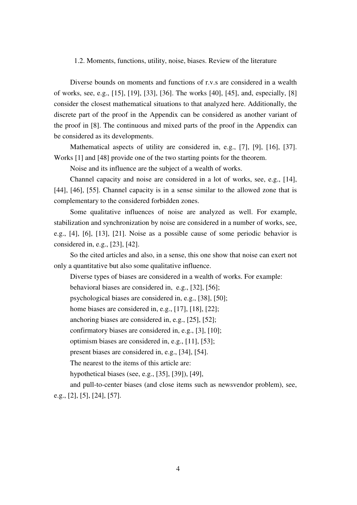#### 1.2. Moments, functions, utility, noise, biases. Review of the literature

Diverse bounds on moments and functions of r.v.s are considered in a wealth of works, see, e.g., [15], [19], [33], [36]. The works [40], [45], and, especially, [8] consider the closest mathematical situations to that analyzed here. Additionally, the discrete part of the proof in the Appendix can be considered as another variant of the proof in [8]. The continuous and mixed parts of the proof in the Appendix can be considered as its developments.

Mathematical aspects of utility are considered in, e.g., [7], [9], [16], [37]. Works [1] and [48] provide one of the two starting points for the theorem.

Noise and its influence are the subject of a wealth of works.

Channel capacity and noise are considered in a lot of works, see, e.g., [14], [44], [46], [55]. Channel capacity is in a sense similar to the allowed zone that is complementary to the considered forbidden zones.

Some qualitative influences of noise are analyzed as well. For example, stabilization and synchronization by noise are considered in a number of works, see, e.g., [4], [6], [13], [21]. Noise as a possible cause of some periodic behavior is considered in, e.g., [23], [42].

So the cited articles and also, in a sense, this one show that noise can exert not only a quantitative but also some qualitative influence.

Diverse types of biases are considered in a wealth of works. For example:

behavioral biases are considered in, e.g., [32], [56];

psychological biases are considered in, e.g., [38], [50];

home biases are considered in, e.g., [17], [18], [22];

anchoring biases are considered in, e.g., [25], [52];

confirmatory biases are considered in, e.g., [3], [10];

optimism biases are considered in, e.g., [11], [53];

present biases are considered in, e.g., [34], [54].

The nearest to the items of this article are:

hypothetical biases (see, e.g., [35], [39]), [49],

and pull-to-center biases (and close items such as newsvendor problem), see, e.g., [2], [5], [24], [57].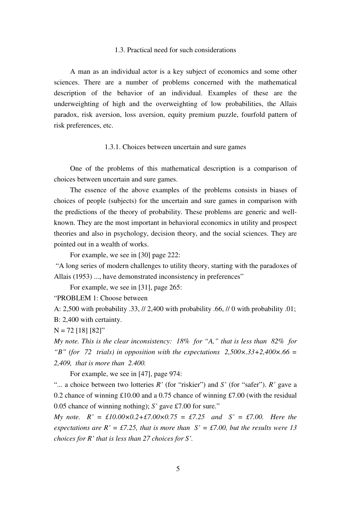# 1.3. Practical need for such considerations

A man as an individual actor is a key subject of economics and some other sciences. There are a number of problems concerned with the mathematical description of the behavior of an individual. Examples of these are the underweighting of high and the overweighting of low probabilities, the Allais paradox, risk aversion, loss aversion, equity premium puzzle, fourfold pattern of risk preferences, etc.

#### 1.3.1. Choices between uncertain and sure games

One of the problems of this mathematical description is a comparison of choices between uncertain and sure games.

The essence of the above examples of the problems consists in biases of choices of people (subjects) for the uncertain and sure games in comparison with the predictions of the theory of probability. These problems are generic and wellknown. They are the most important in behavioral economics in utility and prospect theories and also in psychology, decision theory, and the social sciences. They are pointed out in a wealth of works.

For example, we see in [30] page 222:

"A long series of modern challenges to utility theory, starting with the paradoxes of Allais (1953) ..., have demonstrated inconsistency in preferences"

For example, we see in [31], page 265:

"PROBLEM 1: Choose between

A: 2,500 with probability .33, // 2,400 with probability .66, // 0 with probability .01; B: 2,400 with certainty.

 $N = 72$  [18] [82]"

*My note. This is the clear inconsistency: 18% for "A," that is less than 82% for "B" (for 72 trials) in opposition with the expectations 2.500* $\times$ *.33+2.400* $\times$ *.66 = 2,409, that is more than 2.400.* 

For example, we see in [47], page 974:

"... a choice between two lotteries *R'* (for "riskier") and *S'* (for "safer"). *R'* gave a 0.2 chance of winning £10.00 and a 0.75 chance of winning £7.00 (with the residual 0.05 chance of winning nothing); *S'* gave £7.00 for sure."

*My note.*  $R' = \text{\textsterling}10.00 \times 0.2 + \text{\textsterling}7.00 \times 0.75 = \text{\textsterling}7.25$  and  $S' = \text{\textsterling}7.00$ . Here the *expectations are R'* = £7.25, that is more than  $S' = \text{\textsterling}7.00$ , but the results were 13 *choices for R' that is less than 27 choices for S'.*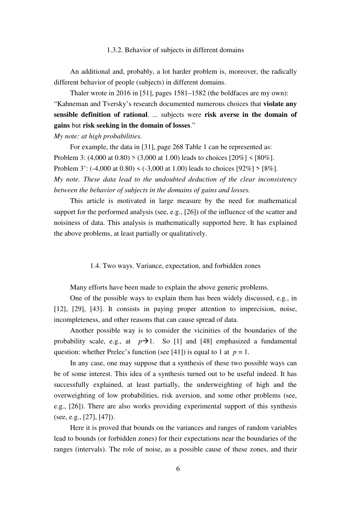#### 1.3.2. Behavior of subjects in different domains

An additional and, probably, a lot harder problem is, moreover, the radically different behavior of people (subjects) in different domains.

Thaler wrote in 2016 in [51], pages 1581–1582 (the boldfaces are my own): "Kahneman and Tversky's research documented numerous choices that **violate any sensible definition of rational**. ... subjects were **risk averse in the domain of gains** but **risk seeking in the domain of losses**."

*My note: at high probabilities.* 

For example, the data in [31], page 268 Table 1 can be represented as: Problem 3: (4,000 at 0.80) > (3,000 at 1.00) leads to choices  $[20\%]$  <  $[80\%]$ . Problem 3': (-4,000 at 0.80) < (-3,000 at 1.00) leads to choices [92%] > [8%]. *My note. These data lead to the undoubted deduction of the clear inconsistency between the behavior of subjects in the domains of gains and losses.* 

This article is motivated in large measure by the need for mathematical support for the performed analysis (see, e.g., [26]) of the influence of the scatter and noisiness of data. This analysis is mathematically supported here. It has explained the above problems, at least partially or qualitatively.

1.4. Two ways. Variance, expectation, and forbidden zones

Many efforts have been made to explain the above generic problems.

One of the possible ways to explain them has been widely discussed, e.g., in [12], [29], [43]. It consists in paying proper attention to imprecision, noise, incompleteness, and other reasons that can cause spread of data.

Another possible way is to consider the vicinities of the boundaries of the probability scale, e.g., at  $p\rightarrow 1$ . So [1] and [48] emphasized a fundamental question: whether Prelec's function (see [41]) is equal to 1 at  $p = 1$ .

In any case, one may suppose that a synthesis of these two possible ways can be of some interest. This idea of a synthesis turned out to be useful indeed. It has successfully explained, at least partially, the underweighting of high and the overweighting of low probabilities, risk aversion, and some other problems (see, e.g., [26]). There are also works providing experimental support of this synthesis (see, e.g., [27], [47]).

Here it is proved that bounds on the variances and ranges of random variables lead to bounds (or forbidden zones) for their expectations near the boundaries of the ranges (intervals). The role of noise, as a possible cause of these zones, and their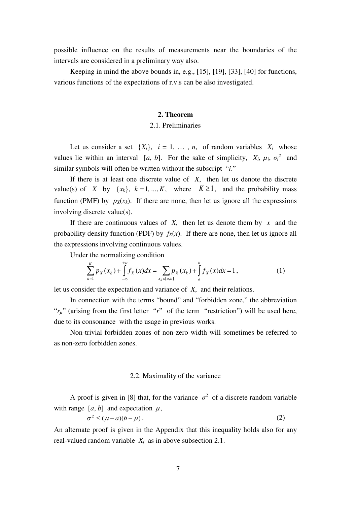possible influence on the results of measurements near the boundaries of the intervals are considered in a preliminary way also.

Keeping in mind the above bounds in, e.g., [15], [19], [33], [40] for functions, various functions of the expectations of r.v.s can be also investigated.

#### **2. Theorem**

# 2.1. Preliminaries

Let us consider a set  $\{X_i\}$ ,  $i = 1, \ldots, n$ , of random variables  $X_i$  whose values lie within an interval [a, b]. For the sake of simplicity,  $X_i$ ,  $\mu_i$ ,  $\sigma_i^2$  and similar symbols will often be written without the subscript "*i*."

If there is at least one discrete value of *X*, then let us denote the discrete value(s) of *X* by  $\{x_k\}$ ,  $k = 1, ..., K$ , where  $K \ge 1$ , and the probability mass function (PMF) by  $p_X(x_k)$ . If there are none, then let us ignore all the expressions involving discrete value(s).

If there are continuous values of *X*, then let us denote them by *x* and the probability density function (PDF) by  $f_X(x)$ . If there are none, then let us ignore all the expressions involving continuous values.

Under the normalizing condition

$$
\sum_{k=1}^{K} p_X(x_k) + \int_{-\infty}^{+\infty} f_X(x) dx = \sum_{x_k \in [a,b]} p_X(x_k) + \int_{a}^{b} f_X(x) dx = 1,
$$
 (1)

let us consider the expectation and variance of *X*, and their relations.

In connection with the terms "bound" and "forbidden zone," the abbreviation " $r_{\mu}$ " (arising from the first letter "*r*" of the term "restriction") will be used here, due to its consonance with the usage in previous works.

Non-trivial forbidden zones of non-zero width will sometimes be referred to as non-zero forbidden zones.

#### 2.2. Maximality of the variance

A proof is given in [8] that, for the variance  $\sigma^2$  of a discrete random variable with range  $[a, b]$  and expectation  $\mu$ ,

$$
\sigma^2 \le (\mu - a)(b - \mu). \tag{2}
$$

An alternate proof is given in the Appendix that this inequality holds also for any real-valued random variable *Xi* as in above subsection 2.1.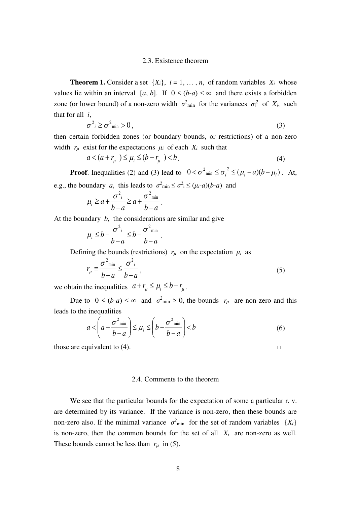#### 2.3. Existence theorem

**Theorem 1.** Consider a set  $\{X_i\}$ ,  $i = 1, \ldots, n$ , of random variables  $X_i$  whose values lie within an interval  $[a, b]$ . If  $0 \le (b-a) \le \infty$  and there exists a forbidden zone (or lower bound) of a non-zero width  $\sigma^2$ <sub>min</sub> for the variances  $\sigma_i^2$  of  $X_i$ , such that for all *i*,

$$
\sigma^2_i \ge \sigma^2_{\min} > 0, \tag{3}
$$

then certain forbidden zones (or boundary bounds, or restrictions) of a non-zero width  $r_\mu$  exist for the expectations  $\mu_i$  of each  $X_i$  such that

$$
a < (a + r_{\mu}) \le \mu_i \le (b - r_{\mu}) < b.
$$
\n(4)

**Proof**. Inequalities (2) and (3) lead to  $0 < \sigma^2_{min} \le \sigma_i^2 \le (\mu_i - a)(b - \mu_i)$ . At, e.g., the boundary *a*, this leads to  $\sigma^2_{\text{min}} \leq \sigma^2_i \leq (\mu_i - a)(b - a)$  and

$$
\mu_i \ge a + \frac{\sigma^2}{b-a} \ge a + \frac{\sigma^2}{b-a}.
$$

At the boundary *b*, the considerations are similar and give

$$
\mu_i \leq b - \frac{\sigma^2}{b-a} \leq b - \frac{\sigma^2_{\min}}{b-a}.
$$

Defining the bounds (restrictions)  $r_\mu$  on the expectation  $\mu_i$  as

$$
r_{\mu} \equiv \frac{\sigma^2_{\min}}{b-a} \le \frac{\sigma^2_i}{b-a},\tag{5}
$$

we obtain the inequalities  $a + r_u \le \mu_i \le b - r_u$ .

Due to  $0 \le (b-a) \le \infty$  and  $\sigma^2_{\min} > 0$ , the bounds  $r_\mu$  are non-zero and this leads to the inequalities

$$
a < \left(a + \frac{\sigma^2_{\min}}{b - a}\right) \le \mu_i \le \left(b - \frac{\sigma^2_{\min}}{b - a}\right) < b
$$
 (6)

those are equivalent to  $(4)$ . □

# 2.4. Comments to the theorem

We see that the particular bounds for the expectation of some a particular r. v. are determined by its variance. If the variance is non-zero, then these bounds are non-zero also. If the minimal variance  $\sigma^2$ <sub>min</sub> for the set of random variables  $\{X_i\}$ is non-zero, then the common bounds for the set of all  $X_i$  are non-zero as well. These bounds cannot be less than  $r_\mu$  in (5).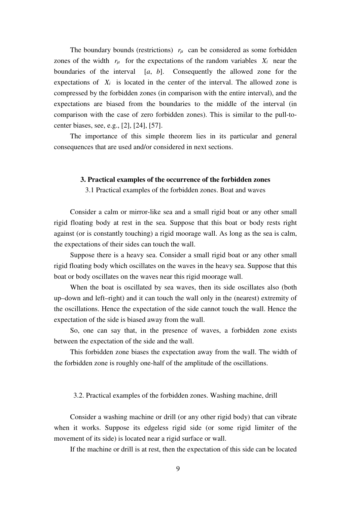The boundary bounds (restrictions)  $r<sub>u</sub>$  can be considered as some forbidden zones of the width  $r_\mu$  for the expectations of the random variables  $X_i$  near the boundaries of the interval [*a*, *b*]. Consequently the allowed zone for the expectations of  $X_i$  is located in the center of the interval. The allowed zone is compressed by the forbidden zones (in comparison with the entire interval), and the expectations are biased from the boundaries to the middle of the interval (in comparison with the case of zero forbidden zones). This is similar to the pull-tocenter biases, see, e.g., [2], [24], [57].

The importance of this simple theorem lies in its particular and general consequences that are used and/or considered in next sections.

#### **3. Practical examples of the occurrence of the forbidden zones**

3.1 Practical examples of the forbidden zones. Boat and waves

Consider a calm or mirror-like sea and a small rigid boat or any other small rigid floating body at rest in the sea. Suppose that this boat or body rests right against (or is constantly touching) a rigid moorage wall. As long as the sea is calm, the expectations of their sides can touch the wall.

Suppose there is a heavy sea. Consider a small rigid boat or any other small rigid floating body which oscillates on the waves in the heavy sea. Suppose that this boat or body oscillates on the waves near this rigid moorage wall.

When the boat is oscillated by sea waves, then its side oscillates also (both up–down and left–right) and it can touch the wall only in the (nearest) extremity of the oscillations. Hence the expectation of the side cannot touch the wall. Hence the expectation of the side is biased away from the wall.

So, one can say that, in the presence of waves, a forbidden zone exists between the expectation of the side and the wall.

This forbidden zone biases the expectation away from the wall. The width of the forbidden zone is roughly one-half of the amplitude of the oscillations.

#### 3.2. Practical examples of the forbidden zones. Washing machine, drill

Consider a washing machine or drill (or any other rigid body) that can vibrate when it works. Suppose its edgeless rigid side (or some rigid limiter of the movement of its side) is located near a rigid surface or wall.

If the machine or drill is at rest, then the expectation of this side can be located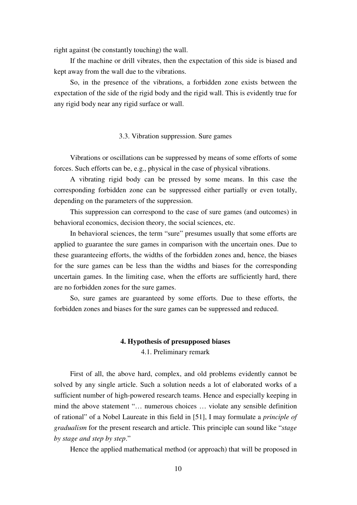right against (be constantly touching) the wall.

If the machine or drill vibrates, then the expectation of this side is biased and kept away from the wall due to the vibrations.

So, in the presence of the vibrations, a forbidden zone exists between the expectation of the side of the rigid body and the rigid wall. This is evidently true for any rigid body near any rigid surface or wall.

# 3.3. Vibration suppression. Sure games

Vibrations or oscillations can be suppressed by means of some efforts of some forces. Such efforts can be, e.g., physical in the case of physical vibrations.

A vibrating rigid body can be pressed by some means. In this case the corresponding forbidden zone can be suppressed either partially or even totally, depending on the parameters of the suppression.

This suppression can correspond to the case of sure games (and outcomes) in behavioral economics, decision theory, the social sciences, etc.

In behavioral sciences, the term "sure" presumes usually that some efforts are applied to guarantee the sure games in comparison with the uncertain ones. Due to these guaranteeing efforts, the widths of the forbidden zones and, hence, the biases for the sure games can be less than the widths and biases for the corresponding uncertain games. In the limiting case, when the efforts are sufficiently hard, there are no forbidden zones for the sure games.

So, sure games are guaranteed by some efforts. Due to these efforts, the forbidden zones and biases for the sure games can be suppressed and reduced.

# **4. Hypothesis of presupposed biases**  4.1. Preliminary remark

First of all, the above hard, complex, and old problems evidently cannot be solved by any single article. Such a solution needs a lot of elaborated works of a sufficient number of high-powered research teams. Hence and especially keeping in mind the above statement "… numerous choices … violate any sensible definition of rational" of a Nobel Laureate in this field in [51], I may formulate a *principle of gradualism* for the present research and article. This principle can sound like "*stage by stage and step by step*."

Hence the applied mathematical method (or approach) that will be proposed in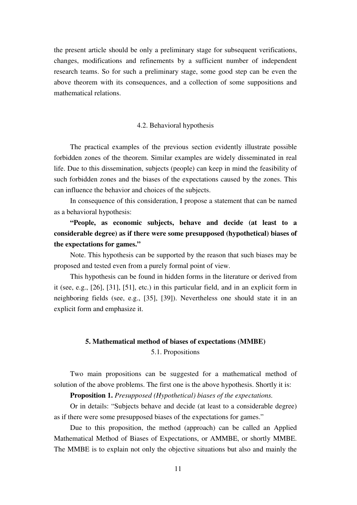the present article should be only a preliminary stage for subsequent verifications, changes, modifications and refinements by a sufficient number of independent research teams. So for such a preliminary stage, some good step can be even the above theorem with its consequences, and a collection of some suppositions and mathematical relations.

### 4.2. Behavioral hypothesis

The practical examples of the previous section evidently illustrate possible forbidden zones of the theorem. Similar examples are widely disseminated in real life. Due to this dissemination, subjects (people) can keep in mind the feasibility of such forbidden zones and the biases of the expectations caused by the zones. This can influence the behavior and choices of the subjects.

In consequence of this consideration, I propose a statement that can be named as a behavioral hypothesis:

**"People, as economic subjects, behave and decide (at least to a considerable degree) as if there were some presupposed (hypothetical) biases of the expectations for games."** 

Note. This hypothesis can be supported by the reason that such biases may be proposed and tested even from a purely formal point of view.

This hypothesis can be found in hidden forms in the literature or derived from it (see, e.g., [26], [31], [51], etc.) in this particular field, and in an explicit form in neighboring fields (see, e.g., [35], [39]). Nevertheless one should state it in an explicit form and emphasize it.

# **5. Mathematical method of biases of expectations (MMBE)**  5.1. Propositions

Two main propositions can be suggested for a mathematical method of solution of the above problems. The first one is the above hypothesis. Shortly it is:

**Proposition 1.** *Presupposed (Hypothetical) biases of the expectations.*

Or in details: "Subjects behave and decide (at least to a considerable degree) as if there were some presupposed biases of the expectations for games."

Due to this proposition, the method (approach) can be called an Applied Mathematical Method of Biases of Expectations, or AMMBE, or shortly MMBE. The MMBE is to explain not only the objective situations but also and mainly the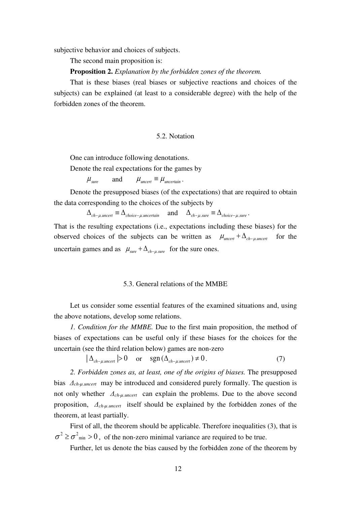subjective behavior and choices of subjects.

The second main proposition is:

**Proposition 2.** *Explanation by the forbidden zones of the theorem.* 

That is these biases (real biases or subjective reactions and choices of the subjects) can be explained (at least to a considerable degree) with the help of the forbidden zones of the theorem.

#### 5.2. Notation

One can introduce following denotations.

Denote the real expectations for the games by

 $\mu_{\text{sure}}$  and  $\mu_{\text{uncert}} \equiv \mu_{\text{uncertain}}$ .

Denote the presupposed biases (of the expectations) that are required to obtain the data corresponding to the choices of the subjects by

 $\Delta_{ch-\mu, uncert} \equiv \Delta_{choice-\mu, uncertain}$  and  $\Delta_{ch-\mu, sure} \equiv \Delta_{choice-\mu, sure}$ .

That is the resulting expectations (i.e., expectations including these biases) for the observed choices of the subjects can be written as  $\mu_{\text{uncert}} + \Delta_{\text{ch}-\mu,\text{uncert}}$  for the uncertain games and as  $\mu_{\text{sure}} + \Delta_{\text{ch}-\mu,\text{sure}}$  for the sure ones.

#### 5.3. General relations of the MMBE

Let us consider some essential features of the examined situations and, using the above notations, develop some relations.

*1. Condition for the MMBE.* Due to the first main proposition, the method of biases of expectations can be useful only if these biases for the choices for the uncertain (see the third relation below) games are non-zero

$$
|\Delta_{\text{ch}-\mu,\text{uncert}}|>0 \quad \text{or} \quad \text{sgn}\left(\Delta_{\text{ch}-\mu,\text{uncert}}\right) \neq 0. \tag{7}
$$

*2. Forbidden zones as, at least, one of the origins of biases.* The presupposed bias *Δch-µ.uncert* may be introduced and considered purely formally. The question is not only whether *Δch-µ.uncert* can explain the problems. Due to the above second proposition, *Δch-µ.uncert* itself should be explained by the forbidden zones of the theorem, at least partially.

First of all, the theorem should be applicable. Therefore inequalities (3), that is  $\sigma^2 \ge \sigma^2$ <sub>min</sub> > 0, of the non-zero minimal variance are required to be true.

Further, let us denote the bias caused by the forbidden zone of the theorem by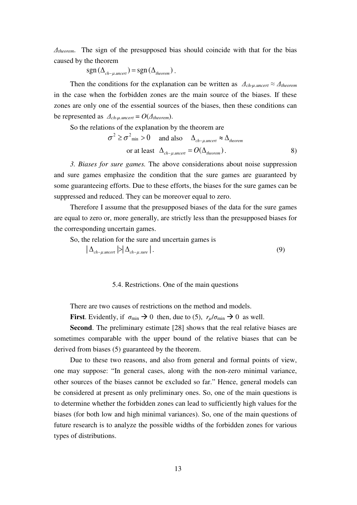*Δtheorem*. The sign of the presupposed bias should coincide with that for the bias caused by the theorem

 $sgn(\Delta_{ch-\mu,uncert}) = sgn(\Delta_{theorem})$ .

Then the conditions for the explanation can be written as  $\Delta_{ch\text{-}\mu\text{-}uncert} \approx \Delta_{theorem}$ in the case when the forbidden zones are the main source of the biases. If these zones are only one of the essential sources of the biases, then these conditions can be represented as  $\Delta_{ch\text{-}u\text{-}uncert} = O(\Delta_{theorem}).$ 

So the relations of the explanation by the theorem are

$$
\sigma^2 \ge \sigma^2_{\min} > 0 \quad \text{ and also} \quad \Delta_{ch-\mu, \text{uncert}} \approx \Delta_{\text{theorem}}
$$
  
or at least  $\Delta_{ch-\mu, \text{uncert}} = O(\Delta_{\text{theorem}}).$  (8)

*3. Biases for sure games.* The above considerations about noise suppression and sure games emphasize the condition that the sure games are guaranteed by some guaranteeing efforts. Due to these efforts, the biases for the sure games can be suppressed and reduced. They can be moreover equal to zero.

Therefore I assume that the presupposed biases of the data for the sure games are equal to zero or, more generally, are strictly less than the presupposed biases for the corresponding uncertain games.

So, the relation for the sure and uncertain games is

$$
\left| \Delta_{\text{ch}-\mu, \text{uncert}} \right| > \left| \Delta_{\text{ch}-\mu, \text{sure}} \right|.
$$
 (9)

#### 5.4. Restrictions. One of the main questions

There are two causes of restrictions on the method and models.

**First**. Evidently, if  $\sigma_{\min} \to 0$  then, due to (5),  $r_u/\sigma_{\min} \to 0$  as well.

**Second**. The preliminary estimate [28] shows that the real relative biases are sometimes comparable with the upper bound of the relative biases that can be derived from biases (5) guaranteed by the theorem.

Due to these two reasons, and also from general and formal points of view, one may suppose: "In general cases, along with the non-zero minimal variance, other sources of the biases cannot be excluded so far." Hence, general models can be considered at present as only preliminary ones. So, one of the main questions is to determine whether the forbidden zones can lead to sufficiently high values for the biases (for both low and high minimal variances). So, one of the main questions of future research is to analyze the possible widths of the forbidden zones for various types of distributions.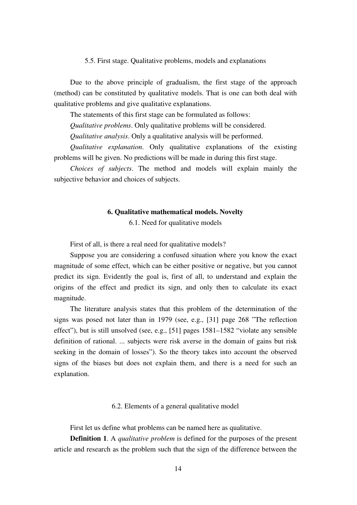#### 5.5. First stage. Qualitative problems, models and explanations

Due to the above principle of gradualism, the first stage of the approach (method) can be constituted by qualitative models. That is one can both deal with qualitative problems and give qualitative explanations.

The statements of this first stage can be formulated as follows:

*Qualitative problems*. Only qualitative problems will be considered.

*Qualitative analysis*. Only a qualitative analysis will be performed.

*Qualitative explanation*. Only qualitative explanations of the existing problems will be given. No predictions will be made in during this first stage.

*Choices of subjects*. The method and models will explain mainly the subjective behavior and choices of subjects.

#### **6. Qualitative mathematical models. Novelty**

6.1. Need for qualitative models

First of all, is there a real need for qualitative models?

Suppose you are considering a confused situation where you know the exact magnitude of some effect, which can be either positive or negative, but you cannot predict its sign. Evidently the goal is, first of all, to understand and explain the origins of the effect and predict its sign, and only then to calculate its exact magnitude.

The literature analysis states that this problem of the determination of the signs was posed not later than in 1979 (see, e.g., [31] page 268 "The reflection effect"), but is still unsolved (see, e.g., [51] pages 1581–1582 "violate any sensible definition of rational. ... subjects were risk averse in the domain of gains but risk seeking in the domain of losses"). So the theory takes into account the observed signs of the biases but does not explain them, and there is a need for such an explanation.

6.2. Elements of a general qualitative model

First let us define what problems can be named here as qualitative.

**Definition 1**. A *qualitative problem* is defined for the purposes of the present article and research as the problem such that the sign of the difference between the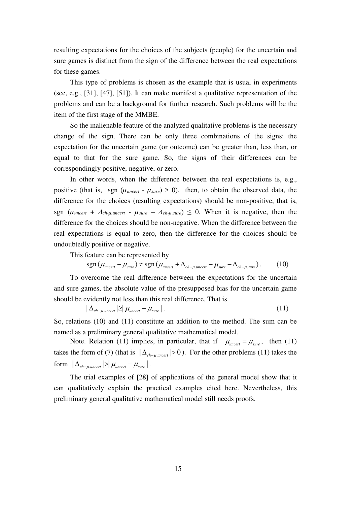resulting expectations for the choices of the subjects (people) for the uncertain and sure games is distinct from the sign of the difference between the real expectations for these games.

This type of problems is chosen as the example that is usual in experiments (see, e.g., [31], [47], [51]). It can make manifest a qualitative representation of the problems and can be a background for further research. Such problems will be the item of the first stage of the MMBE.

So the inalienable feature of the analyzed qualitative problems is the necessary change of the sign. There can be only three combinations of the signs: the expectation for the uncertain game (or outcome) can be greater than, less than, or equal to that for the sure game. So, the signs of their differences can be correspondingly positive, negative, or zero.

In other words, when the difference between the real expectations is, e.g., positive (that is, sgn  $(\mu_{\text{uncert}} - \mu_{\text{sure}}) > 0$ ), then, to obtain the observed data, the difference for the choices (resulting expectations) should be non-positive, that is, sgn ( $\mu_{\text{uncert}} + \Delta_{\text{ch-}\mu,\text{uncert}} - \mu_{\text{sure}} - \Delta_{\text{ch-}\mu,\text{sure}} \leq 0$ . When it is negative, then the difference for the choices should be non-negative. When the difference between the real expectations is equal to zero, then the difference for the choices should be undoubtedly positive or negative.

This feature can be represented by

$$
sgn(\mu_{\text{uncert}} - \mu_{\text{sure}}) \neq sgn(\mu_{\text{uncert}} + \Delta_{\text{ch}-\mu,\text{uncert}} - \mu_{\text{sure}} - \Delta_{\text{ch}-\mu,\text{sure}}). \tag{10}
$$

To overcome the real difference between the expectations for the uncertain and sure games, the absolute value of the presupposed bias for the uncertain game should be evidently not less than this real difference. That is

$$
|\Delta_{\text{ch}-\mu\text{.uncert}}| \geq |\mu_{\text{uncert}} - \mu_{\text{sure}}|.
$$
\n(11)

So, relations (10) and (11) constitute an addition to the method. The sum can be named as a preliminary general qualitative mathematical model.

Note. Relation (11) implies, in particular, that if  $\mu_{\text{uncert}} = \mu_{\text{sure}}$ , then (11) takes the form of (7) (that is  $|\Delta_{ch-\mu,uncert}| > 0$ ). For the other problems (11) takes the form  $|\Delta_{ch-\mu,uncert}| > |\mu_{uncert} - \mu_{sure}|$ .

The trial examples of [28] of applications of the general model show that it can qualitatively explain the practical examples cited here. Nevertheless, this preliminary general qualitative mathematical model still needs proofs.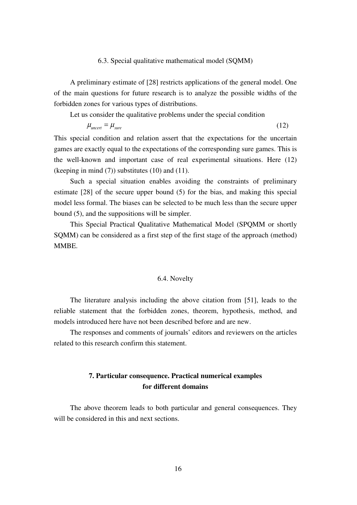#### 6.3. Special qualitative mathematical model (SQMM)

A preliminary estimate of [28] restricts applications of the general model. One of the main questions for future research is to analyze the possible widths of the forbidden zones for various types of distributions.

Let us consider the qualitative problems under the special condition

$$
\mu_{\text{uncert}} = \mu_{\text{sure}} \tag{12}
$$

This special condition and relation assert that the expectations for the uncertain games are exactly equal to the expectations of the corresponding sure games. This is the well-known and important case of real experimental situations. Here (12) (keeping in mind (7)) substitutes (10) and (11).

Such a special situation enables avoiding the constraints of preliminary estimate [28] of the secure upper bound (5) for the bias, and making this special model less formal. The biases can be selected to be much less than the secure upper bound (5), and the suppositions will be simpler.

This Special Practical Qualitative Mathematical Model (SPQMM or shortly SQMM) can be considered as a first step of the first stage of the approach (method) MMBE.

# 6.4. Novelty

The literature analysis including the above citation from [51], leads to the reliable statement that the forbidden zones, theorem, hypothesis, method, and models introduced here have not been described before and are new.

The responses and comments of journals' editors and reviewers on the articles related to this research confirm this statement.

# **7. Particular consequence. Practical numerical examples for different domains**

The above theorem leads to both particular and general consequences. They will be considered in this and next sections.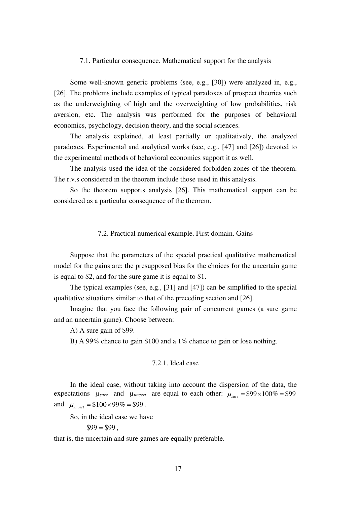#### 7.1. Particular consequence. Mathematical support for the analysis

Some well-known generic problems (see, e.g., [30]) were analyzed in, e.g., [26]. The problems include examples of typical paradoxes of prospect theories such as the underweighting of high and the overweighting of low probabilities, risk aversion, etc. The analysis was performed for the purposes of behavioral economics, psychology, decision theory, and the social sciences.

The analysis explained, at least partially or qualitatively, the analyzed paradoxes. Experimental and analytical works (see, e.g., [47] and [26]) devoted to the experimental methods of behavioral economics support it as well.

The analysis used the idea of the considered forbidden zones of the theorem. The r.v.s considered in the theorem include those used in this analysis.

So the theorem supports analysis [26]. This mathematical support can be considered as a particular consequence of the theorem.

# 7.2. Practical numerical example. First domain. Gains

Suppose that the parameters of the special practical qualitative mathematical model for the gains are: the presupposed bias for the choices for the uncertain game is equal to \$2, and for the sure game it is equal to \$1.

The typical examples (see, e.g., [31] and [47]) can be simplified to the special qualitative situations similar to that of the preceding section and [26].

Imagine that you face the following pair of concurrent games (a sure game and an uncertain game). Choose between:

A) A sure gain of \$99.

B) A 99% chance to gain \$100 and a 1% chance to gain or lose nothing.

# 7.2.1. Ideal case

In the ideal case, without taking into account the dispersion of the data, the expectations  $\mu_{sure}$  and  $\mu_{uncert}$  are equal to each other:  $\mu_{sure} = $99 \times 100\% = $99$ and  $\mu_{\text{uncert}} = $100 \times 99\% = $99$ .

So, in the ideal case we have

 $\$99 = \$99$ .

that is, the uncertain and sure games are equally preferable.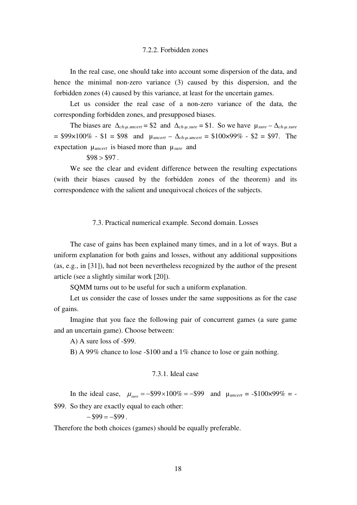# 7.2.2. Forbidden zones

In the real case, one should take into account some dispersion of the data, and hence the minimal non-zero variance (3) caused by this dispersion, and the forbidden zones (4) caused by this variance, at least for the uncertain games.

Let us consider the real case of a non-zero variance of the data, the corresponding forbidden zones, and presupposed biases.

The biases are  $\Delta_{ch-\mu,uncert}$  = \$2 and  $\Delta_{ch-\mu,sure}$  = \$1. So we have  $\mu_{sure} - \Delta_{ch-\mu,sure}$  $= $99 \times 100\%$  - \$1 = \$98 and  $\mu_{uncert} - \Delta_{ch\text{-}u\text{-}uncert} = $100 \times 99\%$  - \$2 = \$97. The expectation µ*uncert* is biased more than µ*sure* and

 $$98 > $97$ .

We see the clear and evident difference between the resulting expectations (with their biases caused by the forbidden zones of the theorem) and its correspondence with the salient and unequivocal choices of the subjects.

# 7.3. Practical numerical example. Second domain. Losses

The case of gains has been explained many times, and in a lot of ways. But a uniform explanation for both gains and losses, without any additional suppositions (as, e.g., in [31]), had not been nevertheless recognized by the author of the present article (see a slightly similar work [20]).

SQMM turns out to be useful for such a uniform explanation.

Let us consider the case of losses under the same suppositions as for the case of gains.

Imagine that you face the following pair of concurrent games (a sure game and an uncertain game). Choose between:

A) A sure loss of -\$99.

B) A 99% chance to lose -\$100 and a 1% chance to lose or gain nothing.

# 7.3.1. Ideal case

In the ideal case,  $\mu_{\text{surr}} = -\$99 \times 100\% = -\$99$  and  $\mu_{\text{uncert}} = -\$100 \times 99\% = -\$100 \times 99\% = -\$100 \times 99\% = -\$100 \times 99\% = -\$100 \times 99\% = -\$100 \times 99\% = -\$100 \times 99\% = -\$100 \times 99\% = -\$100 \times 99\% = -\$100 \times 99\% = -\$100 \times 99\% = -\$100 \times 99\% = -$ \$99. So they are exactly equal to each other:

 $-$ \$99 =  $-$ \$99.

Therefore the both choices (games) should be equally preferable.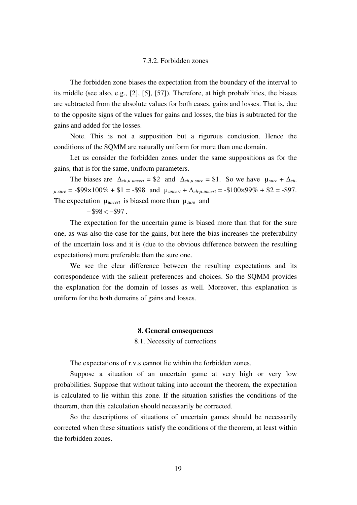#### 7.3.2. Forbidden zones

The forbidden zone biases the expectation from the boundary of the interval to its middle (see also, e.g., [2], [5], [57]). Therefore, at high probabilities, the biases are subtracted from the absolute values for both cases, gains and losses. That is, due to the opposite signs of the values for gains and losses, the bias is subtracted for the gains and added for the losses.

Note. This is not a supposition but a rigorous conclusion. Hence the conditions of the SQMM are naturally uniform for more than one domain.

Let us consider the forbidden zones under the same suppositions as for the gains, that is for the same, uniform parameters.

The biases are  $\Delta_{ch-u.uncert} = $2$  and  $\Delta_{ch-u.sure} = $1$ . So we have  $\mu_{sure} + \Delta_{ch}$  $\mu_{\textit{source}} = -\$99 \times 100\% + \$1 = -\$98$  and  $\mu_{\textit{uncert}} + \Delta_{\textit{ch-u,uncert}} = -\$100 \times 99\% + \$2 = -\$97$ . The expectation µ*uncert* is biased more than µ*sure* and

 $-$  \$98 <  $-$  \$97.

The expectation for the uncertain game is biased more than that for the sure one, as was also the case for the gains, but here the bias increases the preferability of the uncertain loss and it is (due to the obvious difference between the resulting expectations) more preferable than the sure one.

We see the clear difference between the resulting expectations and its correspondence with the salient preferences and choices. So the SQMM provides the explanation for the domain of losses as well. Moreover, this explanation is uniform for the both domains of gains and losses.

#### **8. General consequences**

8.1. Necessity of corrections

The expectations of r.v.s cannot lie within the forbidden zones.

Suppose a situation of an uncertain game at very high or very low probabilities. Suppose that without taking into account the theorem, the expectation is calculated to lie within this zone. If the situation satisfies the conditions of the theorem, then this calculation should necessarily be corrected.

So the descriptions of situations of uncertain games should be necessarily corrected when these situations satisfy the conditions of the theorem, at least within the forbidden zones.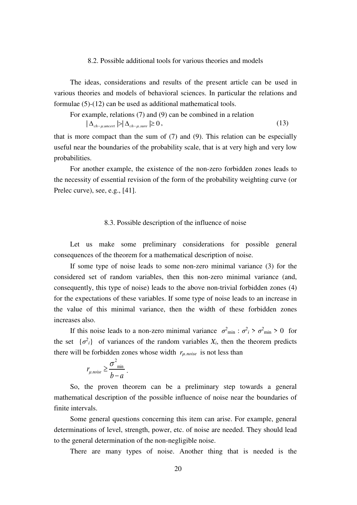# 8.2. Possible additional tools for various theories and models

The ideas, considerations and results of the present article can be used in various theories and models of behavioral sciences. In particular the relations and formulae (5)-(12) can be used as additional mathematical tools.

For example, relations (7) and (9) can be combined in a relation 
$$
|\Delta_{ch-\mu, \text{uncert}}| > |\Delta_{ch-\mu, \text{sure}}| \ge 0,
$$
 (13)

that is more compact than the sum of (7) and (9). This relation can be especially useful near the boundaries of the probability scale, that is at very high and very low probabilities.

For another example, the existence of the non-zero forbidden zones leads to the necessity of essential revision of the form of the probability weighting curve (or Prelec curve), see, e.g., [41].

#### 8.3. Possible description of the influence of noise

Let us make some preliminary considerations for possible general consequences of the theorem for a mathematical description of noise.

If some type of noise leads to some non-zero minimal variance (3) for the considered set of random variables, then this non-zero minimal variance (and, consequently, this type of noise) leads to the above non-trivial forbidden zones (4) for the expectations of these variables. If some type of noise leads to an increase in the value of this minimal variance, then the width of these forbidden zones increases also.

If this noise leads to a non-zero minimal variance  $\sigma^2_{min}$ :  $\sigma^2_i > \sigma^2_{min} > 0$  for the set  $\{\sigma^2_i\}$  of variances of the random variables  $X_i$ , then the theorem predicts there will be forbidden zones whose width *rµ.noise* is not less than

$$
r_{\mu\text{.noise}} \geq \frac{\sigma^2_{\min}}{b-a}.
$$

So, the proven theorem can be a preliminary step towards a general mathematical description of the possible influence of noise near the boundaries of finite intervals.

Some general questions concerning this item can arise. For example, general determinations of level, strength, power, etc. of noise are needed. They should lead to the general determination of the non-negligible noise.

There are many types of noise. Another thing that is needed is the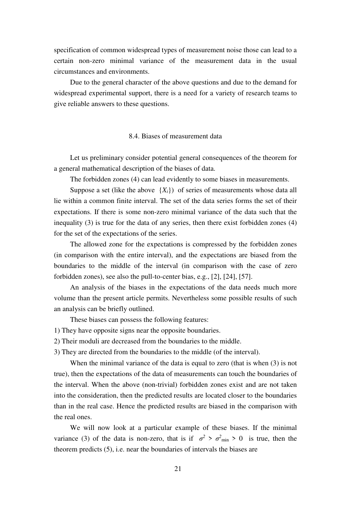specification of common widespread types of measurement noise those can lead to a certain non-zero minimal variance of the measurement data in the usual circumstances and environments.

Due to the general character of the above questions and due to the demand for widespread experimental support, there is a need for a variety of research teams to give reliable answers to these questions.

## 8.4. Biases of measurement data

Let us preliminary consider potential general consequences of the theorem for a general mathematical description of the biases of data.

The forbidden zones (4) can lead evidently to some biases in measurements.

Suppose a set (like the above  $\{X_i\}$ ) of series of measurements whose data all lie within a common finite interval. The set of the data series forms the set of their expectations. If there is some non-zero minimal variance of the data such that the inequality (3) is true for the data of any series, then there exist forbidden zones (4) for the set of the expectations of the series.

The allowed zone for the expectations is compressed by the forbidden zones (in comparison with the entire interval), and the expectations are biased from the boundaries to the middle of the interval (in comparison with the case of zero forbidden zones), see also the pull-to-center bias, e.g., [2], [24], [57].

An analysis of the biases in the expectations of the data needs much more volume than the present article permits. Nevertheless some possible results of such an analysis can be briefly outlined.

These biases can possess the following features:

1) They have opposite signs near the opposite boundaries.

2) Their moduli are decreased from the boundaries to the middle.

3) They are directed from the boundaries to the middle (of the interval).

When the minimal variance of the data is equal to zero (that is when (3) is not true), then the expectations of the data of measurements can touch the boundaries of the interval. When the above (non-trivial) forbidden zones exist and are not taken into the consideration, then the predicted results are located closer to the boundaries than in the real case. Hence the predicted results are biased in the comparison with the real ones.

We will now look at a particular example of these biases. If the minimal variance (3) of the data is non-zero, that is if  $\sigma^2 > \sigma^2_{min} > 0$  is true, then the theorem predicts (5), i.e. near the boundaries of intervals the biases are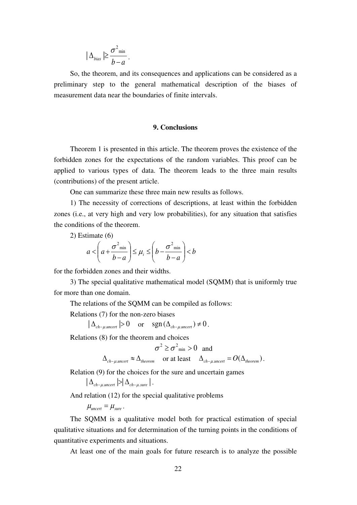$$
|\Delta_{bias}| \geq \frac{\sigma^2_{\min}}{b-a}.
$$

So, the theorem, and its consequences and applications can be considered as a preliminary step to the general mathematical description of the biases of measurement data near the boundaries of finite intervals.

# **9. Conclusions**

Theorem 1 is presented in this article. The theorem proves the existence of the forbidden zones for the expectations of the random variables. This proof can be applied to various types of data. The theorem leads to the three main results (contributions) of the present article.

One can summarize these three main new results as follows.

1) The necessity of corrections of descriptions, at least within the forbidden zones (i.e., at very high and very low probabilities), for any situation that satisfies the conditions of the theorem.

2) Estimate (6)

$$
a < \left(a + \frac{\sigma^2_{\min}}{b - a}\right) \le \mu_i \le \left(b - \frac{\sigma^2_{\min}}{b - a}\right) < b
$$

for the forbidden zones and their widths.

3) The special qualitative mathematical model (SQMM) that is uniformly true for more than one domain.

The relations of the SQMM can be compiled as follows:

Relations (7) for the non-zero biases

 $|\Delta_{ch-\mu.uncert}| > 0$  or  $sgn(\Delta_{ch-\mu.uncert}) \neq 0$ .

Relations (8) for the theorem and choices

$$
\sigma^2 \ge \sigma^2_{\min} > 0
$$
 and

 $\Delta_{ch-\mu, uncert} \approx \Delta_{theorem}$  or at least  $\Delta_{ch-\mu, uncert} = O(\Delta_{theorem})$ .

Relation (9) for the choices for the sure and uncertain games

 $|\Delta_{ch-\mu, \text{uncert}}| > |\Delta_{ch-\mu, \text{sure}}|$ .

And relation (12) for the special qualitative problems

 $\mu_{\text{uncert}} = \mu_{\text{sure}}$ .

The SQMM is a qualitative model both for practical estimation of special qualitative situations and for determination of the turning points in the conditions of quantitative experiments and situations.

At least one of the main goals for future research is to analyze the possible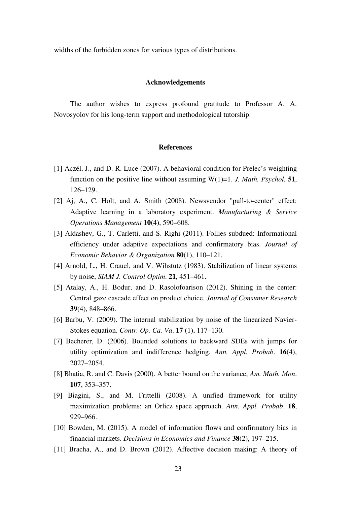widths of the forbidden zones for various types of distributions.

#### **Acknowledgements**

The author wishes to express profound gratitude to Professor A. A. Novosyolov for his long-term support and methodological tutorship.

#### **References**

- [1] Aczél, J., and D. R. Luce (2007). A behavioral condition for Prelec's weighting function on the positive line without assuming  $W(1)=1$ . *J. Math. Psychol.* **51**, 126–129.
- [2] Aj, A., C. Holt, and A. Smith (2008). Newsvendor "pull-to-center" effect: Adaptive learning in a laboratory experiment. *Manufacturing & Service Operations Management* **10**(4), 590–608.
- [3] Aldashev, G., T. Carletti, and S. Righi (2011). Follies subdued: Informational efficiency under adaptive expectations and confirmatory bias. *Journal of Economic Behavior & Organization* **80**(1), 110–121.
- [4] Arnold, L., H. Crauel, and V. Wihstutz (1983). Stabilization of linear systems by noise, *SIAM J. Control Optim*. **21**, 451–461.
- [5] Atalay, A., H. Bodur, and D. Rasolofoarison (2012). Shining in the center: Central gaze cascade effect on product choice. *Journal of Consumer Research* **39**(4), 848–866.
- [6] Barbu, V. (2009). The internal stabilization by noise of the linearized Navier-Stokes equation. *Contr. Op. Ca. Va*. **17** (1), 117–130.
- [7] Becherer, D. (2006). Bounded solutions to backward SDEs with jumps for utility optimization and indifference hedging. *Ann. Appl. Probab*. **16**(4), 2027–2054.
- [8] Bhatia, R. and C. Davis (2000). A better bound on the variance, *Am. Math. Mon*. **107**, 353–357.
- [9] Biagini, S., and M. Frittelli (2008). A unified framework for utility maximization problems: an Orlicz space approach. *Ann. Appl. Probab*. **18**, 929–966.
- [10] Bowden, M. (2015). A model of information flows and confirmatory bias in financial markets. *Decisions in Economics and Finance* **38**(2), 197–215.
- [11] Bracha, A., and D. Brown (2012). Affective decision making: A theory of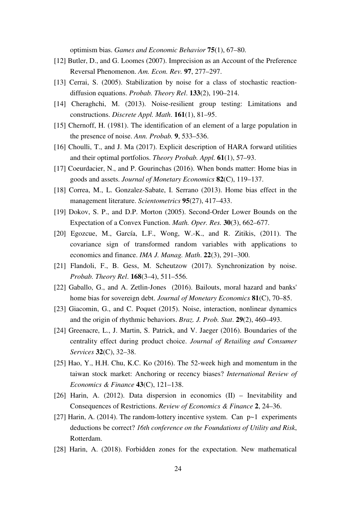optimism bias. *Games and Economic Behavior* **75**(1), 67–80.

- [12] Butler, D., and G. Loomes (2007). Imprecision as an Account of the Preference Reversal Phenomenon. *Am. Econ. Rev.* **97**, 277–297.
- [13] Cerrai, S. (2005). Stabilization by noise for a class of stochastic reactiondiffusion equations. *Probab. Theory Rel*. **133**(2), 190–214.
- [14] Cheraghchi, M. (2013). Noise-resilient group testing: Limitations and constructions. *Discrete Appl. Math*. **161**(1), 81–95.
- [15] Chernoff, H. (1981). The identification of an element of a large population in the presence of noise. *Ann. Probab.* **9**, 533–536.
- [16] Choulli, T., and J. Ma (2017). Explicit description of HARA forward utilities and their optimal portfolios. *Theory Probab. Appl.* **61**(1), 57–93.
- [17] Coeurdacier, N., and P. Gourinchas (2016). When bonds matter: Home bias in goods and assets. *Journal of Monetary Economics* **82**(C), 119–137.
- [18] Correa, M., L. Gonzalez-Sabate, I. Serrano (2013). Home bias effect in the management literature. *Scientometrics* **95**(27), 417–433.
- [19] Dokov, S. P., and D.P. Morton (2005). Second-Order Lower Bounds on the Expectation of a Convex Function. *Math. Oper. Res.* **30**(3), 662–677.
- [20] Egozcue, M., García, L.F., Wong, W.-K., and R. Zitikis, (2011). The covariance sign of transformed random variables with applications to economics and finance. *IMA J. Manag. Math*. **22**(3), 291–300.
- [21] Flandoli, F., B. Gess, M. Scheutzow (2017). Synchronization by noise. *Probab. Theory Rel*. **168**(3–4), 511–556.
- [22] Gaballo, G., and A. Zetlin-Jones (2016). Bailouts, moral hazard and banks' home bias for sovereign debt. *Journal of Monetary Economics* **81**(C), 70–85.
- [23] Giacomin, G., and C. Poquet (2015). Noise, interaction, nonlinear dynamics and the origin of rhythmic behaviors. *Braz. J. Prob. Stat*. **29**(2), 460–493.
- [24] Greenacre, L., J. Martin, S. Patrick, and V. Jaeger (2016). Boundaries of the centrality effect during product choice. *Journal of Retailing and Consumer Services* **32**(C), 32–38.
- [25] Hao, Y., H.H. Chu, K.C. Ko (2016). The 52-week high and momentum in the taiwan stock market: Anchoring or recency biases? *International Review of Economics & Finance* **43**(C), 121–138.
- [26] Harin, A. (2012). Data dispersion in economics (II) Inevitability and Consequences of Restrictions. *Review of Economics & Finance* **2**, 24–36.
- [27] Harin, A. (2014). The random-lottery incentive system. Can p~1 experiments deductions be correct? *16th conference on the Foundations of Utility and Risk*, Rotterdam.
- [28] Harin, A. (2018). Forbidden zones for the expectation. New mathematical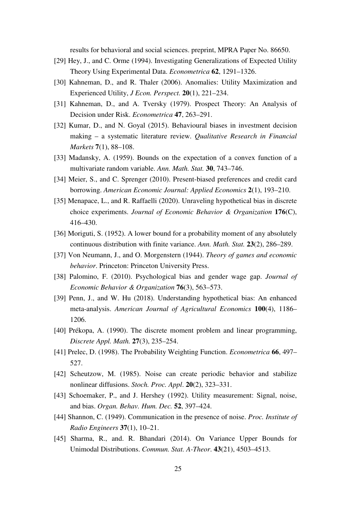results for behavioral and social sciences. preprint, MPRA Paper No. 86650.

- [29] Hey, J., and C. Orme (1994). Investigating Generalizations of Expected Utility Theory Using Experimental Data. *Econometrica* **62**, 1291–1326.
- [30] Kahneman, D., and R. Thaler (2006). Anomalies: Utility Maximization and Experienced Utility, *J Econ. Perspect.* **20**(1), 221–234.
- [31] Kahneman, D., and A. Tversky (1979). Prospect Theory: An Analysis of Decision under Risk. *Econometrica* **47**, 263–291.
- [32] Kumar, D., and N. Goyal (2015). Behavioural biases in investment decision making – a systematic literature review. *Qualitative Research in Financial Markets* **7**(1), 88–108.
- [33] Madansky, A. (1959). Bounds on the expectation of a convex function of a multivariate random variable. *Ann. Math. Stat.* **30**, 743–746.
- [34] Meier, S., and C. Sprenger (2010). Present-biased preferences and credit card borrowing. *American Economic Journal: Applied Economics* **2**(1), 193–210.
- [35] Menapace, L., and R. Raffaelli (2020). Unraveling hypothetical bias in discrete choice experiments. *Journal of Economic Behavior & Organization* **176**(C), 416–430.
- [36] Moriguti, S. (1952). A lower bound for a probability moment of any absolutely continuous distribution with finite variance. *Ann. Math. Stat.* **23**(2), 286–289.
- [37] Von Neumann, J., and O. Morgenstern (1944). *Theory of games and economic behavior*. Princeton: Princeton University Press.
- [38] Palomino, F. (2010). Psychological bias and gender wage gap. *Journal of Economic Behavior & Organization* **76**(3), 563–573.
- [39] Penn, J., and W. Hu (2018). Understanding hypothetical bias: An enhanced meta-analysis. *American Journal of Agricultural Economics* **100**(4), 1186– 1206.
- [40] Prékopa, A. (1990). The discrete moment problem and linear programming, *Discrete Appl. Math.* **27**(3), 235–254.
- [41] Prelec, D. (1998). The Probability Weighting Function. *Econometrica* **66**, 497– 527.
- [42] Scheutzow, M. (1985). Noise can create periodic behavior and stabilize nonlinear diffusions. *Stoch. Proc. Appl*. **20**(2), 323–331.
- [43] Schoemaker, P., and J. Hershey (1992). Utility measurement: Signal, noise, and bias. *Organ. Behav. Hum. Dec.* **52**, 397–424.
- [44] Shannon, C. (1949). Communication in the presence of noise. *Proc. Institute of Radio Engineers* **37**(1), 10–21.
- [45] Sharma, R., and. R. Bhandari (2014). On Variance Upper Bounds for Unimodal Distributions. *Commun. Stat. A-Theor*. **43**(21), 4503–4513.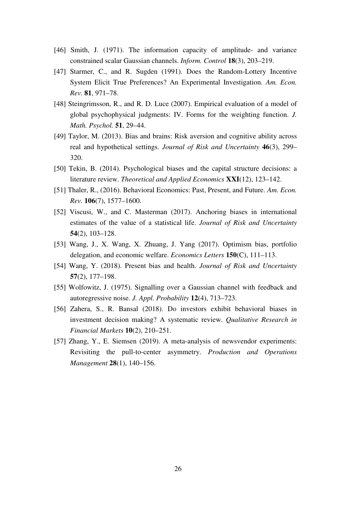- [46] Smith, J. (1971). The information capacity of amplitude- and variance constrained scalar Gaussian channels. *Inform. Control* **18**(3), 203–219.
- [47] Starmer, C., and R. Sugden (1991). Does the Random-Lottery Incentive System Elicit True Preferences? An Experimental Investigation. *Am. Econ. Rev.* **81**, 971–78.
- [48] Steingrimsson, R., and R. D. Luce (2007). Empirical evaluation of a model of global psychophysical judgments: IV. Forms for the weighting function. *J. Math. Psychol.* **51**, 29–44.
- [49] Taylor, M. (2013). Bias and brains: Risk aversion and cognitive ability across real and hypothetical settings. *Journal of Risk and Uncertainty* **46**(3), 299– 320.
- [50] Tekin, B. (2014). Psychological biases and the capital structure decisions: a literature review. *Theoretical and Applied Economics* **XXI**(12), 123–142.
- [51] Thaler, R., (2016). Behavioral Economics: Past, Present, and Future. *Am. Econ. Rev.* **106**(7), 1577–1600.
- [52] Viscusi, W., and C. Masterman (2017). Anchoring biases in international estimates of the value of a statistical life. *Journal of Risk and Uncertainty* **54**(2), 103–128.
- [53] Wang, J., X. Wang, X. Zhuang, J. Yang (2017). Optimism bias, portfolio delegation, and economic welfare. *Economics Letters* **150**(C), 111–113.
- [54] Wang, Y. (2018). Present bias and health. *Journal of Risk and Uncertainty*  **57**(2), 177–198.
- [55] Wolfowitz, J. (1975). Signalling over a Gaussian channel with feedback and autoregressive noise. *J. Appl. Probability* **12**(4), 713–723.
- [56] Zahera, S., R. Bansal (2018). Do investors exhibit behavioral biases in investment decision making? A systematic review. *Qualitative Research in Financial Markets* **10**(2), 210–251.
- [57] Zhang, Y., E. Siemsen (2019). A meta-analysis of newsvendor experiments: Revisiting the pull-to-center asymmetry. *Production and Operations Management* **28**(1), 140–156.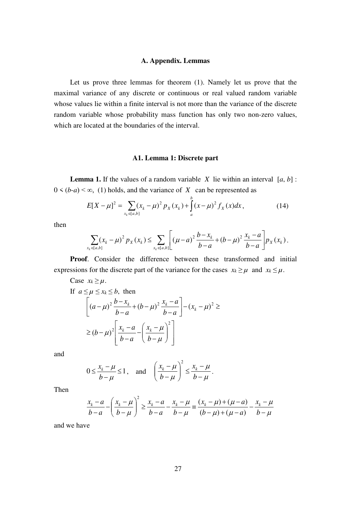#### **A. Appendix. Lemmas**

Let us prove three lemmas for theorem (1). Namely let us prove that the maximal variance of any discrete or continuous or real valued random variable whose values lie within a finite interval is not more than the variance of the discrete random variable whose probability mass function has only two non-zero values, which are located at the boundaries of the interval.

#### **A1. Lemma 1: Discrete part**

**Lemma 1.** If the values of a random variable *X* lie within an interval  $[a, b]$ :  $0 \leq (b-a) \leq \infty$ , (1) holds, and the variance of *X* can be represented as

$$
E[X - \mu]^2 = \sum_{x_k \in [a,b]} (x_k - \mu)^2 p_X(x_k) + \int_a^b (x - \mu)^2 f_X(x) dx,
$$
 (14)

*b*

then

$$
\sum_{x_k \in [a,b]} (x_k - \mu)^2 p_X(x_k) \leq \sum_{x_k \in [a,b]} \left[ (\mu - a)^2 \frac{b - x_k}{b - a} + (b - \mu)^2 \frac{x_k - a}{b - a} \right] p_X(x_k).
$$

**Proof**. Consider the difference between these transformed and initial expressions for the discrete part of the variance for the cases  $x_k \ge \mu$  and  $x_k \le \mu$ .

Case  $x_k \geq \mu$ .

If 
$$
a \le \mu \le x_k \le b
$$
, then  
\n
$$
\left[ (a - \mu)^2 \frac{b - x_k}{b - a} + (b - \mu)^2 \frac{x_k - a}{b - a} \right] - (x_k - \mu)^2 \ge
$$
\n
$$
\ge (b - \mu)^2 \left[ \frac{x_k - a}{b - a} - \left( \frac{x_k - \mu}{b - \mu} \right)^2 \right]
$$

and

$$
0 \le \frac{x_k - \mu}{b - \mu} \le 1
$$
, and  $\left(\frac{x_k - \mu}{b - \mu}\right)^2 \le \frac{x_k - \mu}{b - \mu}$ .

Then

$$
\frac{x_k - a}{b - a} - \left(\frac{x_k - \mu}{b - \mu}\right)^2 \ge \frac{x_k - a}{b - a} - \frac{x_k - \mu}{b - \mu} = \frac{(x_k - \mu) + (\mu - a)}{(b - \mu) + (\mu - a)} - \frac{x_k - \mu}{b - \mu}
$$

and we have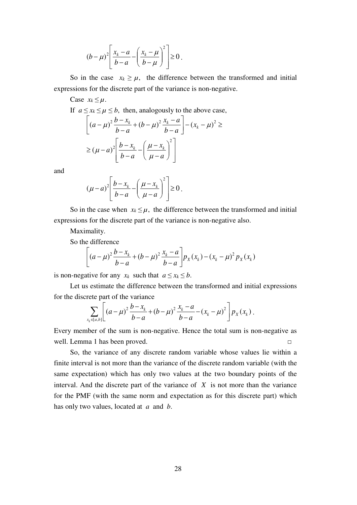$$
(b-\mu)^2 \left[ \frac{x_k-a}{b-a} - \left( \frac{x_k-\mu}{b-\mu} \right)^2 \right] \ge 0.
$$

So in the case  $x_k \geq \mu$ , the difference between the transformed and initial expressions for the discrete part of the variance is non-negative.

Case  $x_k \leq \mu$ .

If  $a \le x_k \le \mu \le b$ , then, analogously to the above case,

$$
\[ (a - \mu)^2 \frac{b - x_k}{b - a} + (b - \mu)^2 \frac{x_k - a}{b - a} \] - (x_k - \mu)^2 \ge
$$
  
 
$$
\ge (\mu - a)^2 \left[ \frac{b - x_k}{b - a} - \left( \frac{\mu - x_k}{\mu - a} \right)^2 \right]
$$

and

$$
(\mu - a)^2 \left[ \frac{b - x_k}{b - a} - \left( \frac{\mu - x_k}{\mu - a} \right)^2 \right] \ge 0.
$$

So in the case when  $x_k \leq \mu$ , the difference between the transformed and initial expressions for the discrete part of the variance is non-negative also.

Maximality.

So the difference

$$
\[ (a - \mu)^2 \frac{b - x_k}{b - a} + (b - \mu)^2 \frac{x_k - a}{b - a} \] p_X(x_k) - (x_k - \mu)^2 p_X(x_k)
$$

is non-negative for any  $x_k$  such that  $a \le x_k \le b$ .

Let us estimate the difference between the transformed and initial expressions for the discrete part of the variance

$$
\sum_{x_k \in [a,b]} \left[ (a-\mu)^2 \frac{b-x_k}{b-a} + (b-\mu)^2 \frac{x_k-a}{b-a} - (x_k - \mu)^2 \right] p_X(x_k).
$$

Every member of the sum is non-negative. Hence the total sum is non-negative as well. Lemma 1 has been proved. □

So, the variance of any discrete random variable whose values lie within a finite interval is not more than the variance of the discrete random variable (with the same expectation) which has only two values at the two boundary points of the interval. And the discrete part of the variance of *X* is not more than the variance for the PMF (with the same norm and expectation as for this discrete part) which has only two values, located at *a* and *b*.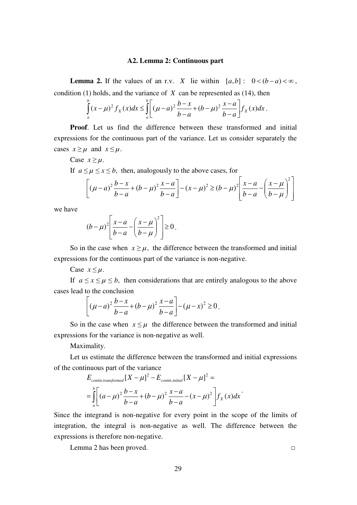#### **A2. Lemma 2: Continuous part**

**Lemma 2.** If the values of an r.v. *X* lie within  $[a,b]$ :  $0 < (b-a) < \infty$ , condition (1) holds, and the variance of *X* can be represented as (14), then

$$
\int_{a}^{b} (x - \mu)^2 f_X(x) dx \leq \int_{a}^{b} \left[ (\mu - a)^2 \frac{b - x}{b - a} + (b - \mu)^2 \frac{x - a}{b - a} \right] f_X(x) dx.
$$

**Proof**. Let us find the difference between these transformed and initial expressions for the continuous part of the variance. Let us consider separately the cases  $x \ge \mu$  and  $x \le \mu$ .

Case  $x \geq \mu$ .

If  $a \le \mu \le x \le b$ , then, analogously to the above cases, for

$$
\[ (\mu - a)^2 \frac{b - x}{b - a} + (b - \mu)^2 \frac{x - a}{b - a} \] - (x - \mu)^2 \ge (b - \mu)^2 \left[ \frac{x - a}{b - a} - \left( \frac{x - \mu}{b - \mu} \right)^2 \right]
$$

we have

$$
(b-\mu)^2 \left[ \frac{x-a}{b-a} - \left( \frac{x-\mu}{b-\mu} \right)^2 \right] \ge 0.
$$

So in the case when  $x \ge \mu$ , the difference between the transformed and initial expressions for the continuous part of the variance is non-negative.

Case  $x \leq \mu$ .

If  $a \le x \le \mu \le b$ , then considerations that are entirely analogous to the above cases lead to the conclusion

$$
\[ (\mu - a)^2 \frac{b - x}{b - a} + (b - \mu)^2 \frac{x - a}{b - a} \] - (\mu - x)^2 \ge 0.
$$

So in the case when  $x \leq \mu$  the difference between the transformed and initial expressions for the variance is non-negative as well.

Maximality.

Let us estimate the difference between the transformed and initial expressions of the continuous part of the variance

$$
E_{contin. transformation} [X - \mu]^2 - E_{contin. initial} [X - \mu]^2 =
$$
  
= 
$$
\int_a^b \left[ (a - \mu)^2 \frac{b - x}{b - a} + (b - \mu)^2 \frac{x - a}{b - a} - (x - \mu)^2 \right] f_X(x) dx
$$

Since the integrand is non-negative for every point in the scope of the limits of integration, the integral is non-negative as well. The difference between the expressions is therefore non-negative.

Lemma 2 has been proved. □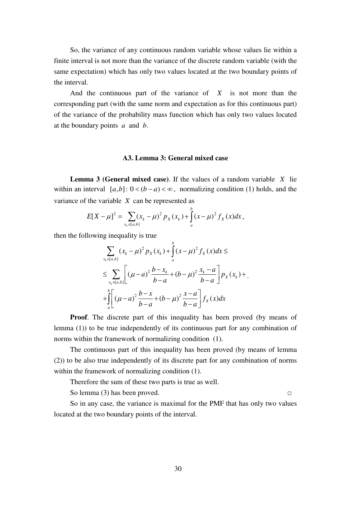So, the variance of any continuous random variable whose values lie within a finite interval is not more than the variance of the discrete random variable (with the same expectation) which has only two values located at the two boundary points of the interval.

And the continuous part of the variance of *X* is not more than the corresponding part (with the same norm and expectation as for this continuous part) of the variance of the probability mass function which has only two values located at the boundary points *a* and *b*.

# **A3. Lemma 3: General mixed case**

**Lemma 3 (General mixed case)**. If the values of a random variable *X* lie within an interval  $[a,b]$ :  $0 < (b-a) < \infty$ , normalizing condition (1) holds, and the variance of the variable *X* can be represented as

$$
E[X - \mu]^2 = \sum_{x_k \in [a,b]} (x_k - \mu)^2 p_X(x_k) + \int_a^b (x - \mu)^2 f_X(x) dx,
$$

then the following inequality is true

$$
\sum_{x_k \in [a,b]} (x_k - \mu)^2 p_X(x_k) + \int_a^b (x - \mu)^2 f_X(x) dx \le
$$
  
\n
$$
\leq \sum_{x_k \in [a,b]} \left[ (\mu - a)^2 \frac{b - x_k}{b - a} + (b - \mu)^2 \frac{x_k - a}{b - a} \right] p_X(x_k) + \int_a^b \left[ (\mu - a)^2 \frac{b - x_k}{b - a} + (b - \mu)^2 \frac{x - a}{b - a} \right] f_X(x) dx
$$

**Proof.** The discrete part of this inequality has been proved (by means of lemma (1)) to be true independently of its continuous part for any combination of norms within the framework of normalizing condition (1).

The continuous part of this inequality has been proved (by means of lemma (2)) to be also true independently of its discrete part for any combination of norms within the framework of normalizing condition  $(1)$ .

Therefore the sum of these two parts is true as well.

So lemma (3) has been proved.  $□$ 

So in any case, the variance is maximal for the PMF that has only two values located at the two boundary points of the interval.